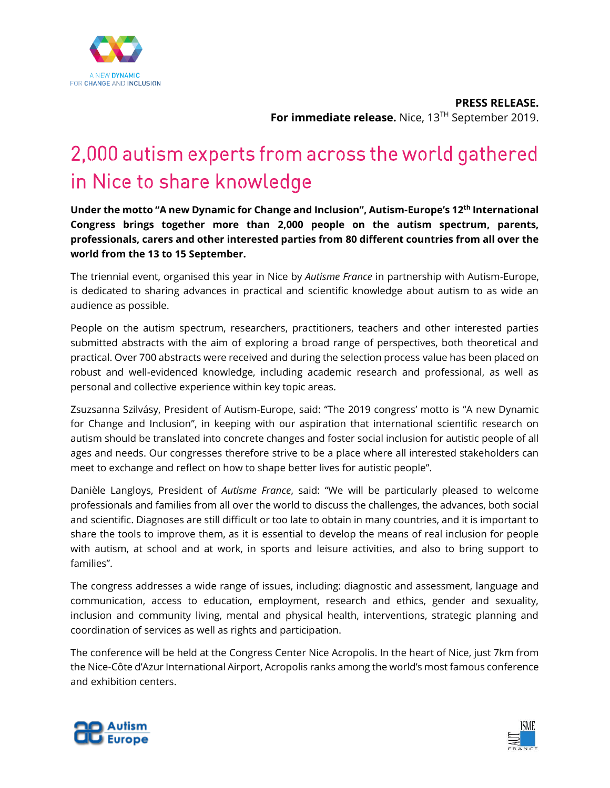

**PRESS RELEASE.**  For immediate release. Nice, 13<sup>TH</sup> September 2019.

# 2,000 autism experts from across the world gathered in Nice to share knowledge

**Under the motto "A new Dynamic for Change and Inclusion", Autism-Europe's 12 th International Congress brings together more than 2,000 people on the autism spectrum, parents, professionals, carers and other interested parties from 80 different countries from all over the world from the 13 to 15 September.**

The triennial event, organised this year in Nice by *Autisme France* in partnership with Autism-Europe, is dedicated to sharing advances in practical and scientific knowledge about autism to as wide an audience as possible.

People on the autism spectrum, researchers, practitioners, teachers and other interested parties submitted abstracts with the aim of exploring a broad range of perspectives, both theoretical and practical. Over 700 abstracts were received and during the selection process value has been placed on robust and well-evidenced knowledge, including academic research and professional, as well as personal and collective experience within key topic areas.

Zsuzsanna Szilvásy, President of Autism-Europe, said: "The 2019 congress' motto is "A new Dynamic for Change and Inclusion", in keeping with our aspiration that international scientific research on autism should be translated into concrete changes and foster social inclusion for autistic people of all ages and needs. Our congresses therefore strive to be a place where all interested stakeholders can meet to exchange and reflect on how to shape better lives for autistic people".

Danièle Langloys, President of *Autisme France*, said: "We will be particularly pleased to welcome professionals and families from all over the world to discuss the challenges, the advances, both social and scientific. Diagnoses are still difficult or too late to obtain in many countries, and it is important to share the tools to improve them, as it is essential to develop the means of real inclusion for people with autism, at school and at work, in sports and leisure activities, and also to bring support to families".

The congress addresses a wide range of issues, including: diagnostic and assessment, language and communication, access to education, employment, research and ethics, gender and sexuality, inclusion and community living, mental and physical health, interventions, strategic planning and coordination of services as well as rights and participation.

The conference will be held at the Congress Center Nice Acropolis. In the heart of Nice, just 7km from the Nice-Côte d'Azur International Airport, Acropolis ranks among the world's most famous conference and exhibition centers.